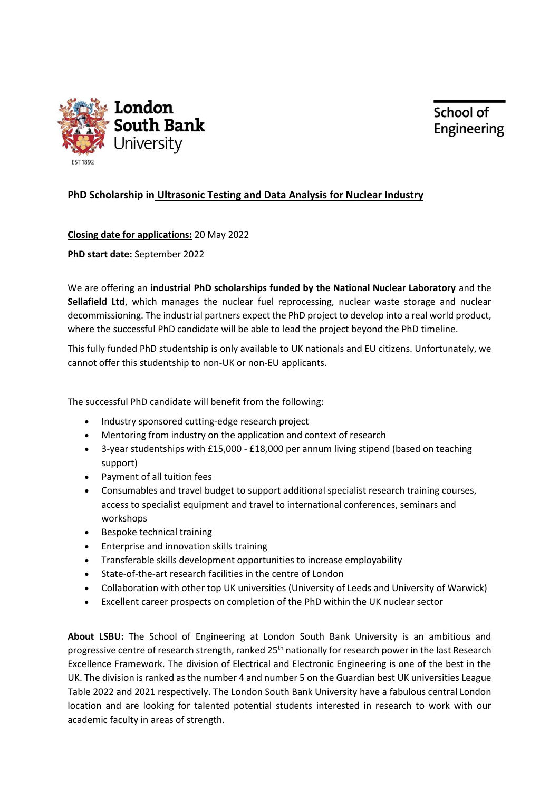



## **PhD Scholarship in Ultrasonic Testing and Data Analysis for Nuclear Industry**

**Closing date for applications:** 20 May 2022

**PhD start date:** September 2022

We are offering an **industrial PhD scholarships funded by the National Nuclear Laboratory** and the **Sellafield Ltd**, which manages the nuclear fuel reprocessing, nuclear waste storage and nuclear decommissioning. The industrial partners expect the PhD project to develop into a real world product, where the successful PhD candidate will be able to lead the project beyond the PhD timeline.

This fully funded PhD studentship is only available to UK nationals and EU citizens. Unfortunately, we cannot offer this studentship to non-UK or non-EU applicants.

The successful PhD candidate will benefit from the following:

- Industry sponsored cutting-edge research project
- Mentoring from industry on the application and context of research
- 3-year studentships with £15,000 £18,000 per annum living stipend (based on teaching support)
- Payment of all tuition fees
- Consumables and travel budget to support additional specialist research training courses, access to specialist equipment and travel to international conferences, seminars and workshops
- Bespoke technical training
- Enterprise and innovation skills training
- Transferable skills development opportunities to increase employability
- State-of-the-art research facilities in the centre of London
- Collaboration with other top UK universities (University of Leeds and University of Warwick)
- Excellent career prospects on completion of the PhD within the UK nuclear sector

**About LSBU:** The School of Engineering at London South Bank University is an ambitious and progressive centre of research strength, ranked 25th nationally for research power in the last Research Excellence Framework. The division of Electrical and Electronic Engineering is one of the best in the UK. The division is ranked as the number 4 and number 5 on the Guardian best UK universities League Table 2022 and 2021 respectively. The London South Bank University have a fabulous central London location and are looking for talented potential students interested in research to work with our academic faculty in areas of strength.